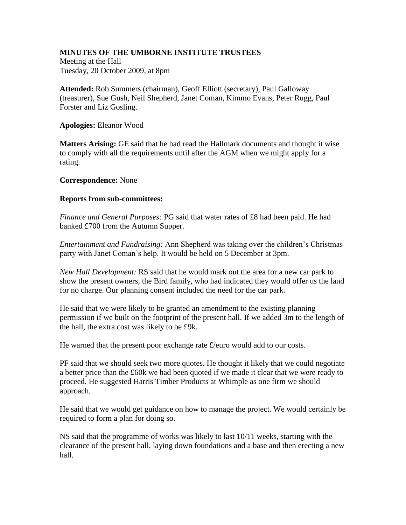## **MINUTES OF THE UMBORNE INSTITUTE TRUSTEES**

Meeting at the Hall Tuesday, 20 October 2009, at 8pm

**Attended:** Rob Summers (chairman), Geoff Elliott (secretary), Paul Galloway (treasurer), Sue Gush, Neil Shepherd, Janet Coman, Kimmo Evans, Peter Rugg, Paul Forster and Liz Gosling.

**Apologies:** Eleanor Wood

**Matters Arising:** GE said that he had read the Hallmark documents and thought it wise to comply with all the requirements until after the AGM when we might apply for a rating.

## **Correspondence:** None

## **Reports from sub-committees:**

*Finance and General Purposes:* PG said that water rates of £8 had been paid. He had banked £700 from the Autumn Supper.

*Entertainment and Fundraising:* Ann Shepherd was taking over the children's Christmas party with Janet Coman's help. It would be held on 5 December at 3pm.

*New Hall Development:* RS said that he would mark out the area for a new car park to show the present owners, the Bird family, who had indicated they would offer us the land for no charge. Our planning consent included the need for the car park.

He said that we were likely to be granted an amendment to the existing planning permission if we built on the footprint of the present hall. If we added 3m to the length of the hall, the extra cost was likely to be £9k.

He warned that the present poor exchange rate  $\pounds$ /euro would add to our costs.

PF said that we should seek two more quotes. He thought it likely that we could negotiate a better price than the £60k we had been quoted if we made it clear that we were ready to proceed. He suggested Harris Timber Products at Whimple as one firm we should approach.

He said that we would get guidance on how to manage the project. We would certainly be required to form a plan for doing so.

NS said that the programme of works was likely to last 10/11 weeks, starting with the clearance of the present hall, laying down foundations and a base and then erecting a new hall.